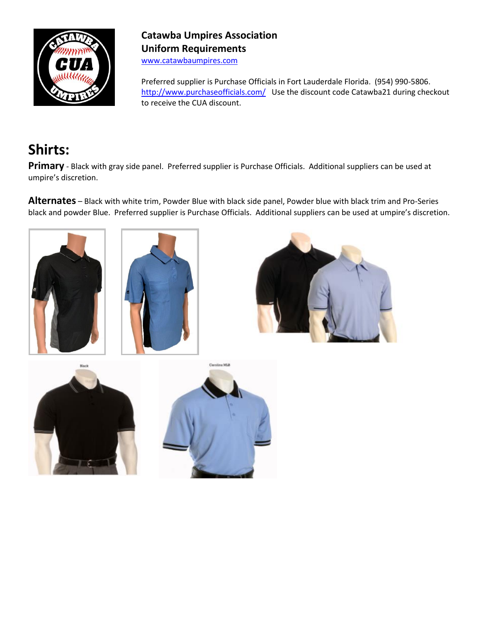

#### **Catawba Umpires Association Uniform Requirements**

[www.catawbaumpires.com](http://www.catawbaumpires.com/)

Preferred supplier is Purchase Officials in Fort Lauderdale Florida. (954) 990-5806. <http://www.purchaseofficials.com/>Use the discount code Catawba21 during checkout to receive the CUA discount.

### **Shirts:**

**Primary** - Black with gray side panel. Preferred supplier is Purchase Officials. Additional suppliers can be used at umpire's discretion.

**Alternates** – Black with white trim, Powder Blue with black side panel, Powder blue with black trim and Pro-Series black and powder Blue. Preferred supplier is Purchase Officials. Additional suppliers can be used at umpire's discretion.

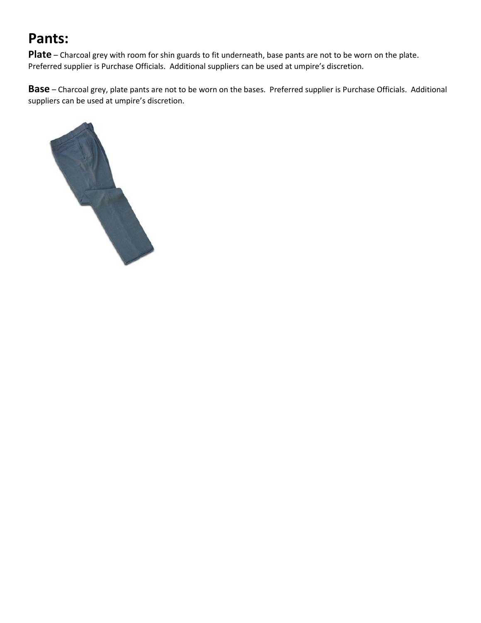### **Pants:**

**Plate** – Charcoal grey with room for shin guards to fit underneath, base pants are not to be worn on the plate. Preferred supplier is Purchase Officials. Additional suppliers can be used at umpire's discretion.

**Base** – Charcoal grey, plate pants are not to be worn on the bases. Preferred supplier is Purchase Officials. Additional suppliers can be used at umpire's discretion.

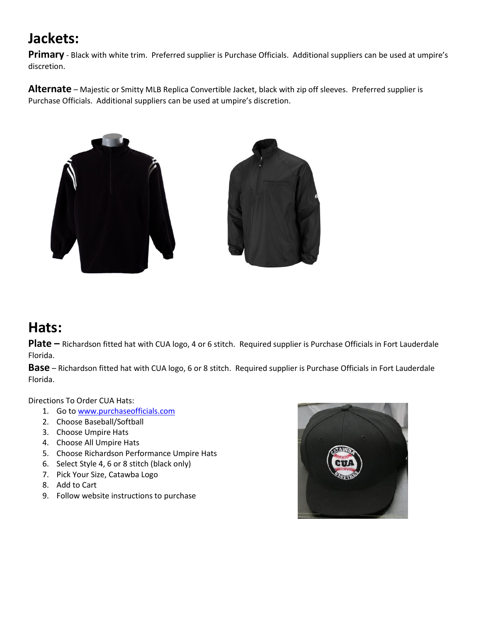### **Jackets:**

**Primary** - Black with white trim. Preferred supplier is Purchase Officials. Additional suppliers can be used at umpire's discretion.

**Alternate** – Majestic or Smitty MLB Replica Convertible Jacket, black with zip off sleeves. Preferred supplier is Purchase Officials. Additional suppliers can be used at umpire's discretion.



### **Hats:**

**Plate –** Richardson fitted hat with CUA logo, 4 or 6 stitch. Required supplier is Purchase Officials in Fort Lauderdale Florida.

**Base** – Richardson fitted hat with CUA logo, 6 or 8 stitch. Required supplier is Purchase Officials in Fort Lauderdale Florida.

Directions To Order CUA Hats:

- 1. Go to [www.purchaseofficials.com](http://www.purchaseofficials.com/)
- 2. Choose Baseball/Softball
- 3. Choose Umpire Hats
- 4. Choose All Umpire Hats
- 5. Choose Richardson Performance Umpire Hats
- 6. Select Style 4, 6 or 8 stitch (black only)
- 7. Pick Your Size, Catawba Logo
- 8. Add to Cart
- 9. Follow website instructions to purchase